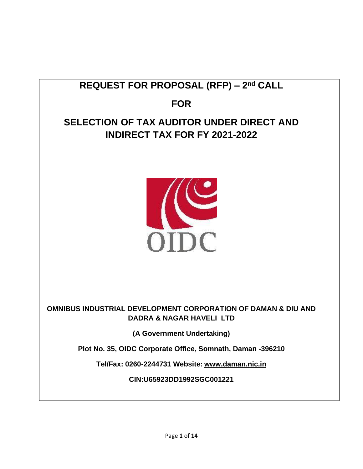# **REQUEST FOR PROPOSAL (RFP) – 2 nd CALL**

**FOR**

## **SELECTION OF TAX AUDITOR UNDER DIRECT AND INDIRECT TAX FOR FY 2021-2022**



## **OMNIBUS INDUSTRIAL DEVELOPMENT CORPORATION OF DAMAN & DIU AND DADRA & NAGAR HAVELI LTD**

**(A Government Undertaking)**

**Plot No. 35, OIDC Corporate Office, Somnath, Daman -396210**

**Tel/Fax: 0260-2244731 Website: [www.daman.nic.in](http://www.daman.nic.in/)**

**CIN:U65923DD1992SGC001221**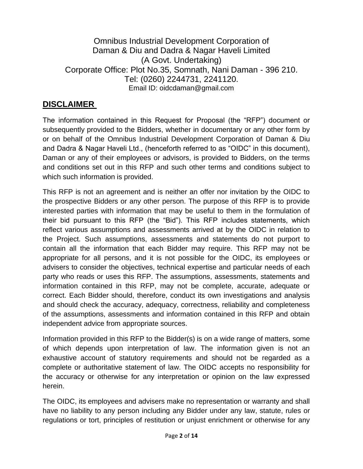Omnibus Industrial Development Corporation of Daman & Diu and Dadra & Nagar Haveli Limited (A Govt. Undertaking) Corporate Office: Plot No.35, Somnath, Nani Daman - 396 210. Tel: (0260) 2244731, 2241120. Email ID: oidcdaman@gmail.com

## **DISCLAIMER**

The information contained in this Request for Proposal (the "RFP") document or subsequently provided to the Bidders, whether in documentary or any other form by or on behalf of the Omnibus Industrial Development Corporation of Daman & Diu and Dadra & Nagar Haveli Ltd., (henceforth referred to as "OIDC" in this document), Daman or any of their employees or advisors, is provided to Bidders, on the terms and conditions set out in this RFP and such other terms and conditions subject to which such information is provided.

This RFP is not an agreement and is neither an offer nor invitation by the OIDC to the prospective Bidders or any other person. The purpose of this RFP is to provide interested parties with information that may be useful to them in the formulation of their bid pursuant to this RFP (the "Bid"). This RFP includes statements, which reflect various assumptions and assessments arrived at by the OIDC in relation to the Project. Such assumptions, assessments and statements do not purport to contain all the information that each Bidder may require. This RFP may not be appropriate for all persons, and it is not possible for the OIDC, its employees or advisers to consider the objectives, technical expertise and particular needs of each party who reads or uses this RFP. The assumptions, assessments, statements and information contained in this RFP, may not be complete, accurate, adequate or correct. Each Bidder should, therefore, conduct its own investigations and analysis and should check the accuracy, adequacy, correctness, reliability and completeness of the assumptions, assessments and information contained in this RFP and obtain independent advice from appropriate sources.

Information provided in this RFP to the Bidder(s) is on a wide range of matters, some of which depends upon interpretation of law. The information given is not an exhaustive account of statutory requirements and should not be regarded as a complete or authoritative statement of law. The OIDC accepts no responsibility for the accuracy or otherwise for any interpretation or opinion on the law expressed herein.

The OIDC, its employees and advisers make no representation or warranty and shall have no liability to any person including any Bidder under any law, statute, rules or regulations or tort, principles of restitution or unjust enrichment or otherwise for any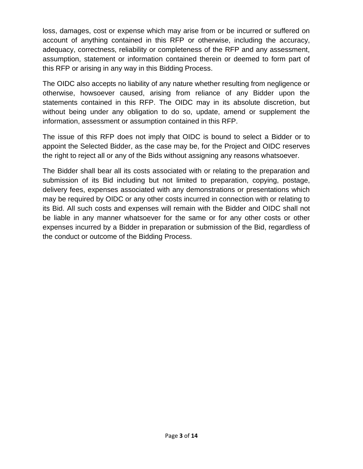loss, damages, cost or expense which may arise from or be incurred or suffered on account of anything contained in this RFP or otherwise, including the accuracy, adequacy, correctness, reliability or completeness of the RFP and any assessment, assumption, statement or information contained therein or deemed to form part of this RFP or arising in any way in this Bidding Process.

The OIDC also accepts no liability of any nature whether resulting from negligence or otherwise, howsoever caused, arising from reliance of any Bidder upon the statements contained in this RFP. The OIDC may in its absolute discretion, but without being under any obligation to do so, update, amend or supplement the information, assessment or assumption contained in this RFP.

The issue of this RFP does not imply that OIDC is bound to select a Bidder or to appoint the Selected Bidder, as the case may be, for the Project and OIDC reserves the right to reject all or any of the Bids without assigning any reasons whatsoever.

The Bidder shall bear all its costs associated with or relating to the preparation and submission of its Bid including but not limited to preparation, copying, postage, delivery fees, expenses associated with any demonstrations or presentations which may be required by OIDC or any other costs incurred in connection with or relating to its Bid. All such costs and expenses will remain with the Bidder and OIDC shall not be liable in any manner whatsoever for the same or for any other costs or other expenses incurred by a Bidder in preparation or submission of the Bid, regardless of the conduct or outcome of the Bidding Process.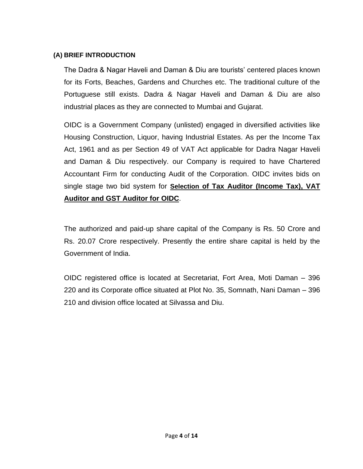### **(A) BRIEF INTRODUCTION**

The Dadra & Nagar Haveli and Daman & Diu are tourists' centered places known for its Forts, Beaches, Gardens and Churches etc. The traditional culture of the Portuguese still exists. Dadra & Nagar Haveli and Daman & Diu are also industrial places as they are connected to Mumbai and Gujarat.

OIDC is a Government Company (unlisted) engaged in diversified activities like Housing Construction, Liquor, having Industrial Estates. As per the Income Tax Act, 1961 and as per Section 49 of VAT Act applicable for Dadra Nagar Haveli and Daman & Diu respectively. our Company is required to have Chartered Accountant Firm for conducting Audit of the Corporation. OIDC invites bids on single stage two bid system for **Selection of Tax Auditor (Income Tax), VAT Auditor and GST Auditor for OIDC**.

The authorized and paid-up share capital of the Company is Rs. 50 Crore and Rs. 20.07 Crore respectively. Presently the entire share capital is held by the Government of India.

OIDC registered office is located at Secretariat, Fort Area, Moti Daman – 396 220 and its Corporate office situated at Plot No. 35, Somnath, Nani Daman – 396 210 and division office located at Silvassa and Diu.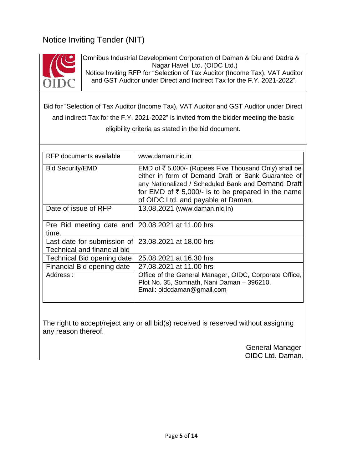## Notice Inviting Tender (NIT)



Omnibus Industrial Development Corporation of Daman & Diu and Dadra & Nagar Haveli Ltd. (OIDC Ltd.) Notice Inviting RFP for "Selection of Tax Auditor (Income Tax), VAT Auditor and GST Auditor under Direct and Indirect Tax for the F.Y. 2021-2022".

Bid for "Selection of Tax Auditor (Income Tax), VAT Auditor and GST Auditor under Direct and Indirect Tax for the F.Y. 2021-2022" is invited from the bidder meeting the basic eligibility criteria as stated in the bid document.

| RFP documents available                                                            | www.daman.nic.in                                                                                                                                                                                                                                                               |  |
|------------------------------------------------------------------------------------|--------------------------------------------------------------------------------------------------------------------------------------------------------------------------------------------------------------------------------------------------------------------------------|--|
| <b>Bid Security/EMD</b>                                                            | EMD of ₹ 5,000/- (Rupees Five Thousand Only) shall be<br>either in form of Demand Draft or Bank Guarantee of<br>any Nationalized / Scheduled Bank and Demand Draft<br>for EMD of $\overline{\tau}$ 5,000/- is to be prepared in the name<br>of OIDC Ltd. and payable at Daman. |  |
| Date of issue of RFP                                                               | 13.08.2021 (www.daman.nic.in)                                                                                                                                                                                                                                                  |  |
| Pre Bid meeting date and 20.08.2021 at 11.00 hrs<br>time.                          |                                                                                                                                                                                                                                                                                |  |
| Last date for submission of 23,08,2021 at 18,00 hrs<br>Technical and financial bid |                                                                                                                                                                                                                                                                                |  |
| Technical Bid opening date                                                         | 25.08.2021 at 16.30 hrs                                                                                                                                                                                                                                                        |  |
| Financial Bid opening date                                                         | 27.08.2021 at 11.00 hrs                                                                                                                                                                                                                                                        |  |
| Address:                                                                           | Office of the General Manager, OIDC, Corporate Office,<br>Plot No. 35, Somnath, Nani Daman - 396210.<br>Email: oidcdaman@gmail.com                                                                                                                                             |  |

The right to accept/reject any or all bid(s) received is reserved without assigning any reason thereof.

> General Manager OIDC Ltd. Daman.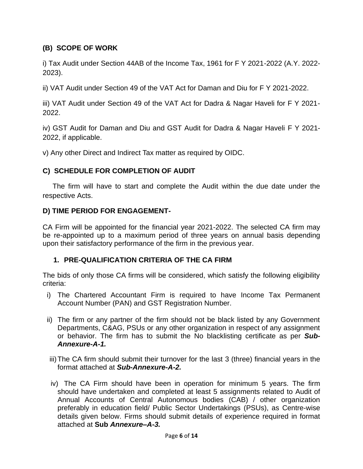## **(B) SCOPE OF WORK**

i) Tax Audit under Section 44AB of the Income Tax, 1961 for F Y 2021-2022 (A.Y. 2022- 2023).

ii) VAT Audit under Section 49 of the VAT Act for Daman and Diu for F Y 2021-2022.

iii) VAT Audit under Section 49 of the VAT Act for Dadra & Nagar Haveli for F Y 2021- 2022.

iv) GST Audit for Daman and Diu and GST Audit for Dadra & Nagar Haveli F Y 2021- 2022, if applicable.

v) Any other Direct and Indirect Tax matter as required by OIDC.

## **C) SCHEDULE FOR COMPLETION OF AUDIT**

 The firm will have to start and complete the Audit within the due date under the respective Acts.

#### **D) TIME PERIOD FOR ENGAGEMENT-**

CA Firm will be appointed for the financial year 2021-2022. The selected CA firm may be re-appointed up to a maximum period of three years on annual basis depending upon their satisfactory performance of the firm in the previous year.

### **1. PRE-QUALIFICATION CRITERIA OF THE CA FIRM**

The bids of only those CA firms will be considered, which satisfy the following eligibility criteria:

- i) The Chartered Accountant Firm is required to have Income Tax Permanent Account Number (PAN) and GST Registration Number.
- ii) The firm or any partner of the firm should not be black listed by any Government Departments, C&AG, PSUs or any other organization in respect of any assignment or behavior. The firm has to submit the No blacklisting certificate as per *Sub-Annexure-A-1.*
- iii)The CA firm should submit their turnover for the last 3 (three) financial years in the format attached at *Sub-Annexure-A-2.*
- iv) The CA Firm should have been in operation for minimum 5 years. The firm should have undertaken and completed at least 5 assignments related to Audit of Annual Accounts of Central Autonomous bodies (CAB) / other organization preferably in education field/ Public Sector Undertakings (PSUs), as Centre-wise details given below. Firms should submit details of experience required in format attached at **Sub** *Annexure–A-3.*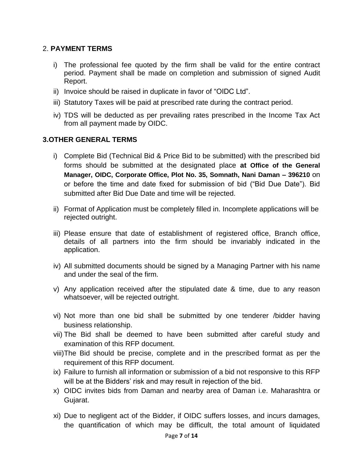### 2. **PAYMENT TERMS**

- i) The professional fee quoted by the firm shall be valid for the entire contract period. Payment shall be made on completion and submission of signed Audit Report.
- ii) Invoice should be raised in duplicate in favor of "OIDC Ltd".
- iii) Statutory Taxes will be paid at prescribed rate during the contract period.
- iv) TDS will be deducted as per prevailing rates prescribed in the Income Tax Act from all payment made by OIDC.

#### **3.OTHER GENERAL TERMS**

- i) Complete Bid (Technical Bid & Price Bid to be submitted) with the prescribed bid forms should be submitted at the designated place **at Office of the General Manager, OIDC, Corporate Office, Plot No. 35, Somnath, Nani Daman – 396210** on or before the time and date fixed for submission of bid ("Bid Due Date"). Bid submitted after Bid Due Date and time will be rejected.
- ii) Format of Application must be completely filled in. Incomplete applications will be rejected outright.
- iii) Please ensure that date of establishment of registered office, Branch office, details of all partners into the firm should be invariably indicated in the application.
- iv) All submitted documents should be signed by a Managing Partner with his name and under the seal of the firm.
- v) Any application received after the stipulated date & time, due to any reason whatsoever, will be rejected outright.
- vi) Not more than one bid shall be submitted by one tenderer /bidder having business relationship.
- vii) The Bid shall be deemed to have been submitted after careful study and examination of this RFP document.
- viii)The Bid should be precise, complete and in the prescribed format as per the requirement of this RFP document.
- ix) Failure to furnish all information or submission of a bid not responsive to this RFP will be at the Bidders' risk and may result in rejection of the bid.
- x) OIDC invites bids from Daman and nearby area of Daman i.e. Maharashtra or Gujarat.
- xi) Due to negligent act of the Bidder, if OIDC suffers losses, and incurs damages, the quantification of which may be difficult, the total amount of liquidated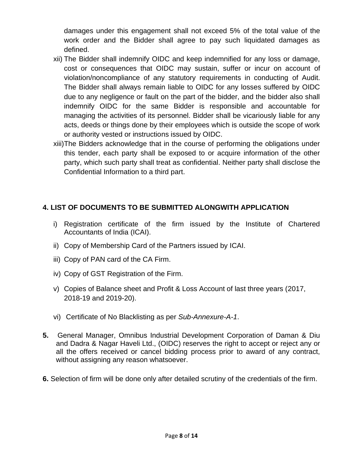damages under this engagement shall not exceed 5% of the total value of the work order and the Bidder shall agree to pay such liquidated damages as defined.

- xii) The Bidder shall indemnify OIDC and keep indemnified for any loss or damage, cost or consequences that OIDC may sustain, suffer or incur on account of violation/noncompliance of any statutory requirements in conducting of Audit. The Bidder shall always remain liable to OIDC for any losses suffered by OIDC due to any negligence or fault on the part of the bidder, and the bidder also shall indemnify OIDC for the same Bidder is responsible and accountable for managing the activities of its personnel. Bidder shall be vicariously liable for any acts, deeds or things done by their employees which is outside the scope of work or authority vested or instructions issued by OIDC.
- xiii)The Bidders acknowledge that in the course of performing the obligations under this tender, each party shall be exposed to or acquire information of the other party, which such party shall treat as confidential. Neither party shall disclose the Confidential Information to a third part.

## **4. LIST OF DOCUMENTS TO BE SUBMITTED ALONGWITH APPLICATION**

- i) Registration certificate of the firm issued by the Institute of Chartered Accountants of India (ICAI).
- ii) Copy of Membership Card of the Partners issued by ICAI.
- iii) Copy of PAN card of the CA Firm.
- iv) Copy of GST Registration of the Firm.
- v) Copies of Balance sheet and Profit & Loss Account of last three years (2017, 2018-19 and 2019-20).
- vi) Certificate of No Blacklisting as per *Sub-Annexure-A-1*.
- **5.** General Manager, Omnibus Industrial Development Corporation of Daman & Diu and Dadra & Nagar Haveli Ltd., (OIDC) reserves the right to accept or reject any or all the offers received or cancel bidding process prior to award of any contract, without assigning any reason whatsoever.
- **6.** Selection of firm will be done only after detailed scrutiny of the credentials of the firm.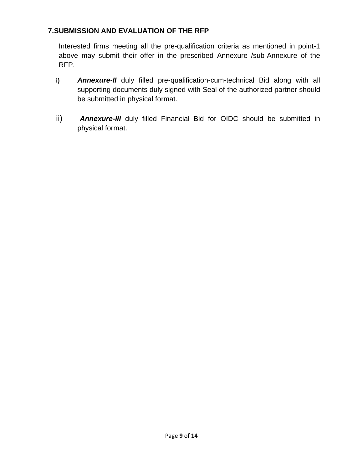## **7.SUBMISSION AND EVALUATION OF THE RFP**

Interested firms meeting all the pre-qualification criteria as mentioned in point-1 above may submit their offer in the prescribed Annexure /sub-Annexure of the RFP.

- **i)** *Annexure-II* duly filled pre-qualification-cum-technical Bid along with all supporting documents duly signed with Seal of the authorized partner should be submitted in physical format.
- ii) *Annexure-III* duly filled Financial Bid for OIDC should be submitted in physical format.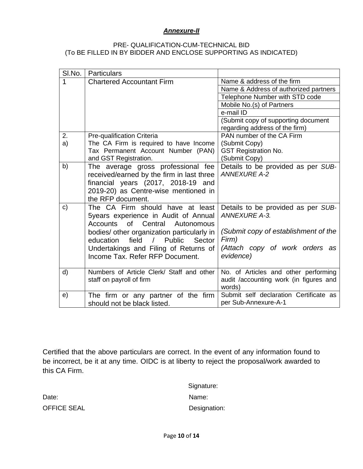#### *Annexure-II*

#### PRE- QUALIFICATION-CUM-TECHNICAL BID (To BE FILLED IN BY BIDDER AND ENCLOSE SUPPORTING AS INDICATED)

| SI.No.       | <b>Particulars</b>                                   |                                        |
|--------------|------------------------------------------------------|----------------------------------------|
| 1            | <b>Chartered Accountant Firm</b>                     | Name & address of the firm             |
|              |                                                      | Name & Address of authorized partners  |
|              |                                                      | Telephone Number with STD code         |
|              |                                                      | Mobile No.(s) of Partners              |
|              |                                                      | e-mail ID                              |
|              |                                                      | (Submit copy of supporting document    |
|              |                                                      | regarding address of the firm)         |
| 2.           | Pre-qualification Criteria                           | PAN number of the CA Firm              |
| a)           | The CA Firm is required to have Income               | (Submit Copy)                          |
|              | Tax Permanent Account Number (PAN)                   | <b>GST Registration No.</b>            |
|              | and GST Registration.                                | (Submit Copy)                          |
| b)           | The average gross professional fee                   | Details to be provided as per SUB-     |
|              | received/earned by the firm in last three            | <b>ANNEXURE A-2</b>                    |
|              | financial years (2017, 2018-19 and                   |                                        |
|              | 2019-20) as Centre-wise mentioned in                 |                                        |
|              | the RFP document.                                    |                                        |
| $\mathbf{C}$ | The CA Firm should have at least                     | Details to be provided as per SUB-     |
|              | 5years experience in Audit of Annual                 | <b>ANNEXURE A-3.</b>                   |
|              | Accounts of Central Autonomous                       |                                        |
|              | bodies/ other organization particularly in           | (Submit copy of establishment of the   |
|              | Public<br>education<br>field<br>$\sqrt{2}$<br>Sector | Firm)                                  |
|              |                                                      |                                        |
|              | Undertakings and Filing of Returns of                | (Attach copy of work orders as         |
|              | Income Tax. Refer RFP Document.                      | evidence)                              |
|              |                                                      |                                        |
| d)           | Numbers of Article Clerk/ Staff and other            | No. of Articles and other performing   |
|              | staff on payroll of firm                             | audit /accounting work (in figures and |
|              |                                                      | words)                                 |
| e)           | The firm or any partner of the firm                  | Submit self declaration Certificate as |
|              | should not be black listed.                          | per Sub-Annexure-A-1                   |

Certified that the above particulars are correct. In the event of any information found to be incorrect, be it at any time. OIDC is at liberty to reject the proposal/work awarded to this CA Firm.

 Signature: Date: Name: Name: Name: Name: Name: Name: Name: Name: Name: Name: Name: Name: Name: Name: Name: Name: Name: Name: Name: Name: Name: Name: Name: Name: Name: Name: Name: Name: Name: Name: Name: Name: Name: Name: Name: Name:

OFFICE SEAL Designation: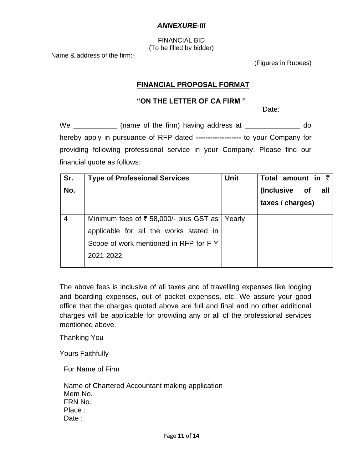#### *ANNEXURE-III*

FINANCIAL BID (To be filled by bidder)

Name & address of the firm:-

(Figures in Rupees)

#### **FINANCIAL PROPOSAL FORMAT**

#### **"ON THE LETTER OF CA FIRM "**

discussion of the contract of the contract of the contract of the Date:

We \_\_\_\_\_\_\_\_\_\_\_\_ (name of the firm) having address at \_\_\_\_\_\_\_\_\_\_\_\_\_\_\_ do hereby apply in pursuance of RFP dated ---------------------- to your Company for providing following professional service in your Company. Please find our financial quote as follows:

| Sr.<br>No. | <b>Type of Professional Services</b>                       | <b>Unit</b> | Total amount in $\bar{z}$<br>(Inclusive of<br>all<br>taxes / charges) |
|------------|------------------------------------------------------------|-------------|-----------------------------------------------------------------------|
| 4          | Minimum fees of $\overline{\epsilon}$ 58,000/- plus GST as | Yearly      |                                                                       |
|            | applicable for all the works stated in                     |             |                                                                       |
|            | Scope of work mentioned in RFP for FY                      |             |                                                                       |
|            | 2021-2022.                                                 |             |                                                                       |

The above fees is inclusive of all taxes and of travelling expenses like lodging and boarding expenses, out of pocket expenses, etc. We assure your good office that the charges quoted above are full and final and no other additional charges will be applicable for providing any or all of the professional services mentioned above.

Thanking You

Yours Faithfully

For Name of Firm

Name of Chartered Accountant making application Mem No. FRN No. Place : Date :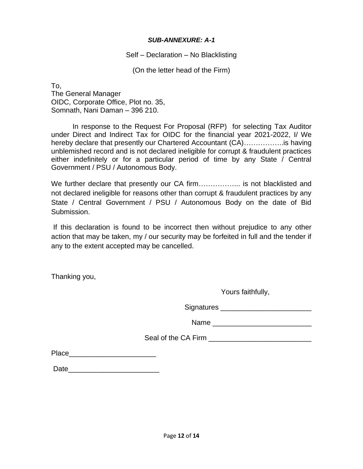#### *SUB-ANNEXURE: A-1*

#### Self – Declaration – No Blacklisting

(On the letter head of the Firm)

To, The General Manager OIDC, Corporate Office, Plot no. 35, Somnath, Nani Daman – 396 210.

In response to the Request For Proposal (RFP) for selecting Tax Auditor under Direct and Indirect Tax for OIDC for the financial year 2021-2022, I/ We hereby declare that presently our Chartered Accountant (CA)……………..is having unblemished record and is not declared ineligible for corrupt & fraudulent practices either indefinitely or for a particular period of time by any State / Central Government / PSU / Autonomous Body.

We further declare that presently our CA firm……………….. is not blacklisted and not declared ineligible for reasons other than corrupt & fraudulent practices by any State / Central Government / PSU / Autonomous Body on the date of Bid Submission.

If this declaration is found to be incorrect then without prejudice to any other action that may be taken, my / our security may be forfeited in full and the tender if any to the extent accepted may be cancelled.

Thanking you,

Yours faithfully,

Signatures \_\_\_\_\_\_\_\_\_\_\_\_\_\_\_\_\_\_\_\_\_\_\_

Name **Name** 

Seal of the CA Firm \_\_\_\_\_\_\_\_\_\_\_\_\_\_\_\_\_\_\_\_\_\_\_\_\_\_

Place\_\_\_\_\_\_\_\_\_\_\_\_\_\_\_\_\_\_\_\_\_\_

Date\_\_\_\_\_\_\_\_\_\_\_\_\_\_\_\_\_\_\_\_\_\_\_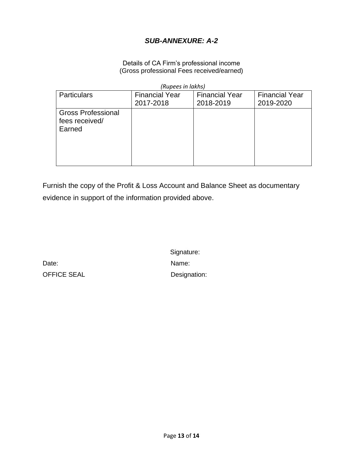## *SUB-ANNEXURE: A-2*

#### Details of CA Firm's professional income (Gross professional Fees received/earned)

 *(Rupees in lakhs)*

| <b>Particulars</b>                                    | <b>Financial Year</b><br>2017-2018 | <b>Financial Year</b><br>2018-2019 | <b>Financial Year</b><br>2019-2020 |
|-------------------------------------------------------|------------------------------------|------------------------------------|------------------------------------|
| <b>Gross Professional</b><br>fees received/<br>Earned |                                    |                                    |                                    |
|                                                       |                                    |                                    |                                    |

Furnish the copy of the Profit & Loss Account and Balance Sheet as documentary evidence in support of the information provided above.

Date: Name: OFFICE SEAL Designation:

Signature: